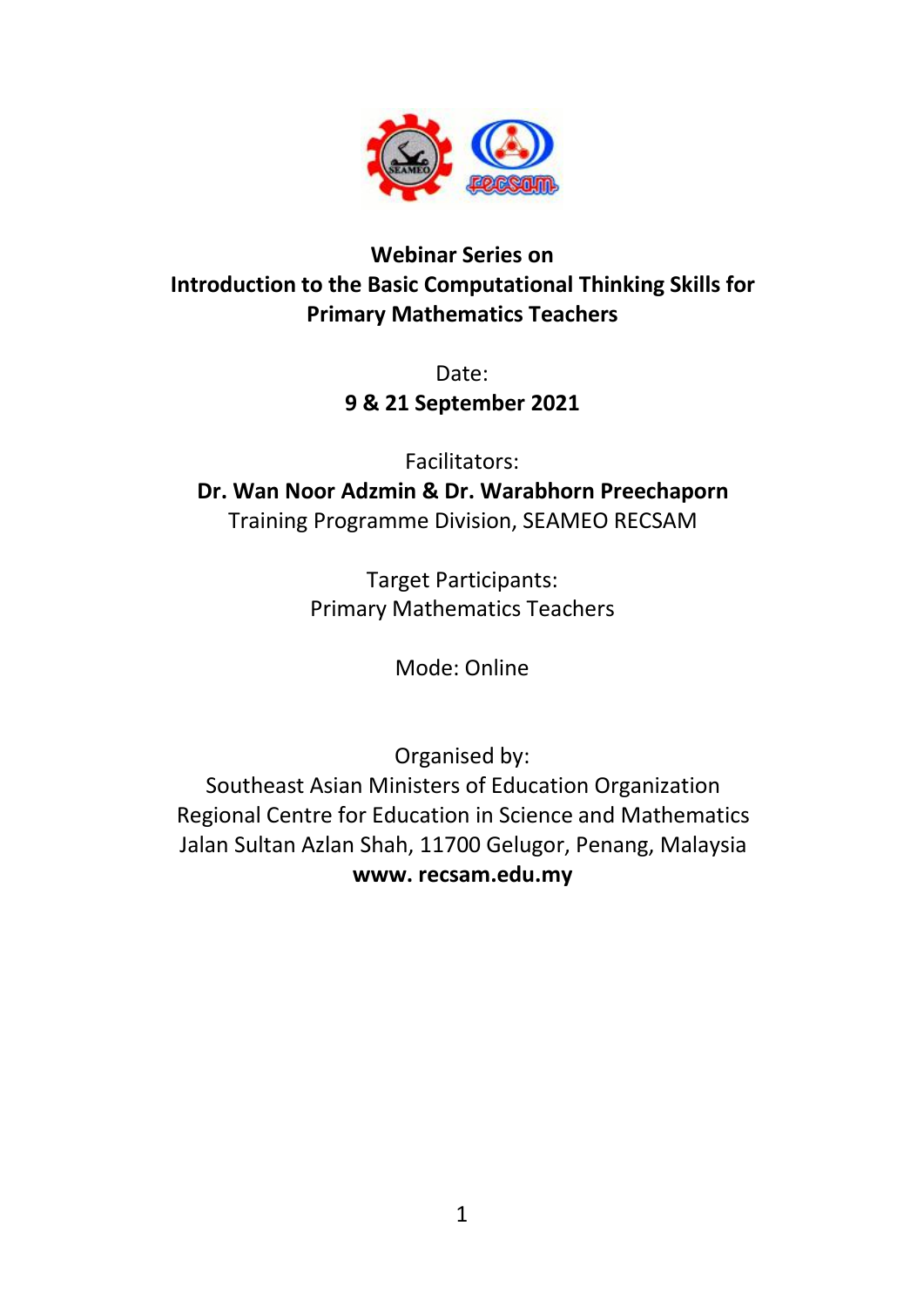

# **Webinar Series on Introduction to the Basic Computational Thinking Skills for Primary Mathematics Teachers**

Date: **9 & 21 September 2021**

Facilitators: **Dr. Wan Noor Adzmin & Dr. Warabhorn Preechaporn** Training Programme Division, SEAMEO RECSAM

> Target Participants: Primary Mathematics Teachers

> > Mode: Online

Organised by:

Southeast Asian Ministers of Education Organization Regional Centre for Education in Science and Mathematics Jalan Sultan Azlan Shah, 11700 Gelugor, Penang, Malaysia **www. recsam.edu.my**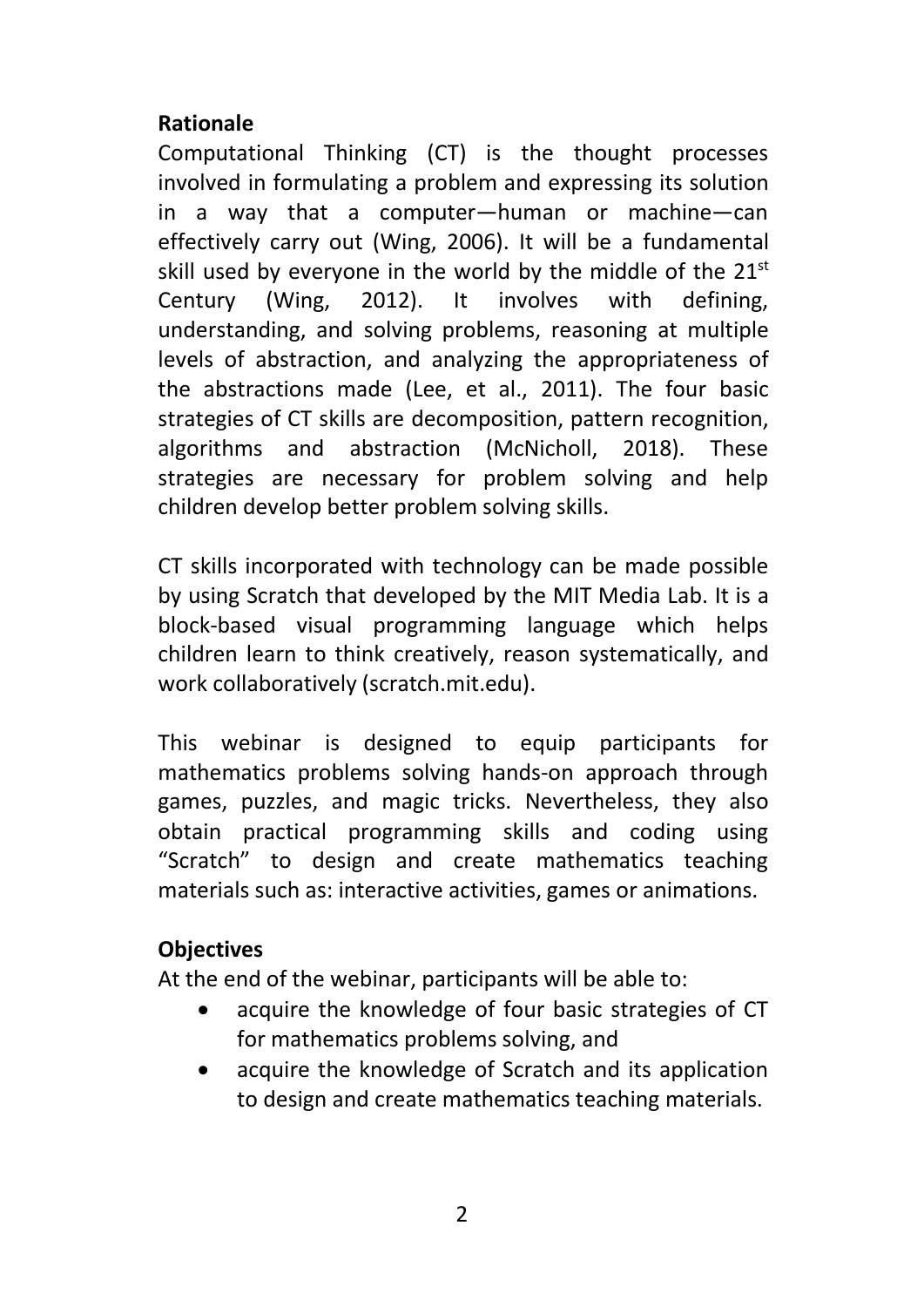## **Rationale**

Computational Thinking (CT) is the thought processes involved in formulating a problem and expressing its solution in a way that a computer—human or machine—can effectively carry out (Wing, 2006). It will be a fundamental skill used by everyone in the world by the middle of the 21 $^{\rm st}$ Century (Wing, 2012). It involves with defining, understanding, and solving problems, reasoning at multiple levels of abstraction, and analyzing the appropriateness of the abstractions made (Lee, et al., 2011). The four basic strategies of CT skills are decomposition, pattern recognition, algorithms and abstraction (McNicholl, 2018). These strategies are necessary for problem solving and help children develop better problem solving skills.

CT skills incorporated with technology can be made possible by using Scratch that developed by the MIT Media Lab. It is a block-based visual programming language which helps children learn to think creatively, reason systematically, and work collaboratively (scratch.mit.edu).

This webinar is designed to equip participants for mathematics problems solving hands-on approach through games, puzzles, and magic tricks. Nevertheless, they also obtain practical programming skills and coding using "Scratch" to design and create mathematics teaching materials such as: interactive activities, games or animations.

## **Objectives**

At the end of the webinar, participants will be able to:

- acquire the knowledge of four basic strategies of CT for mathematics problems solving, and
- acquire the knowledge of Scratch and its application to design and create mathematics teaching materials.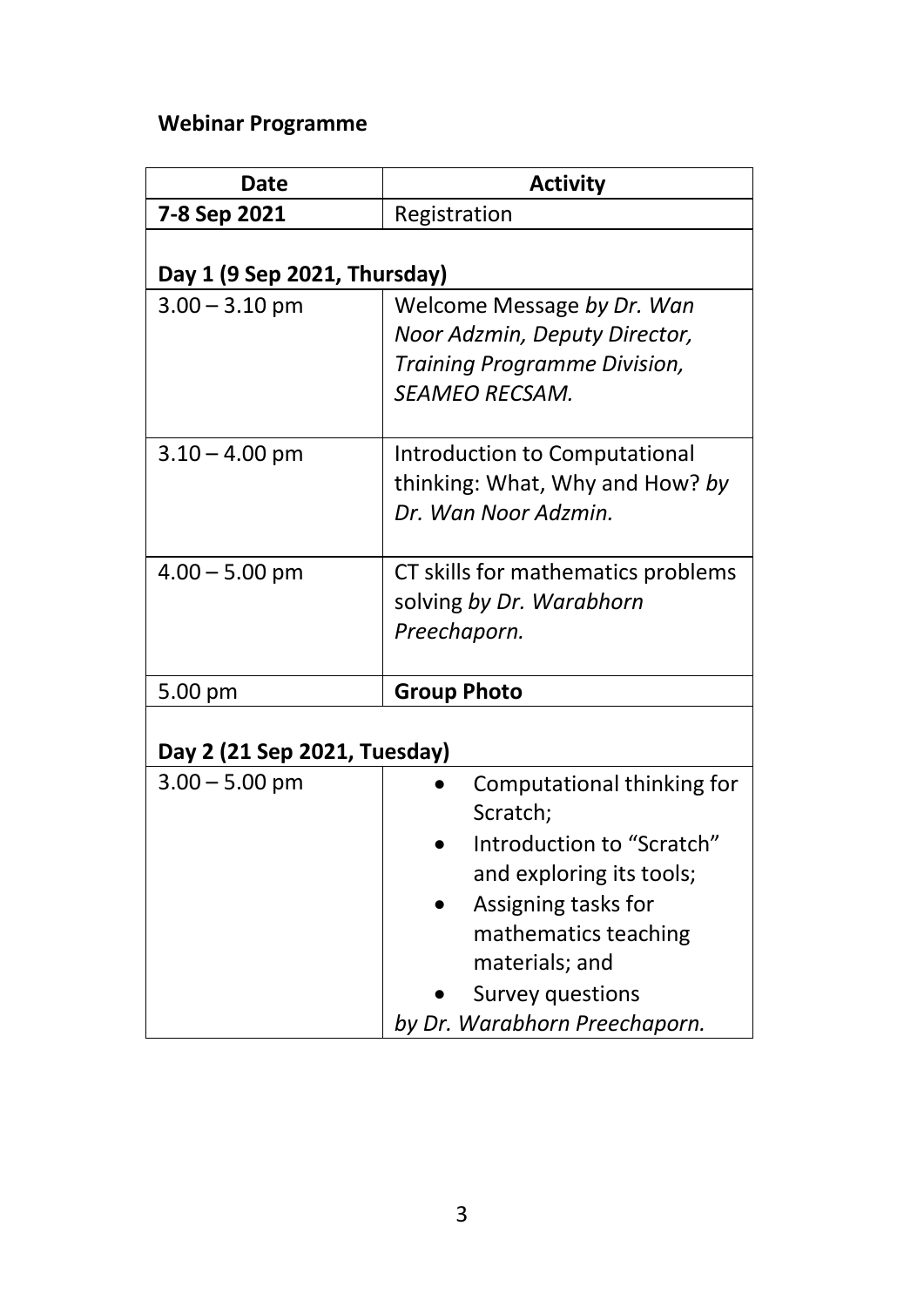# **Webinar Programme**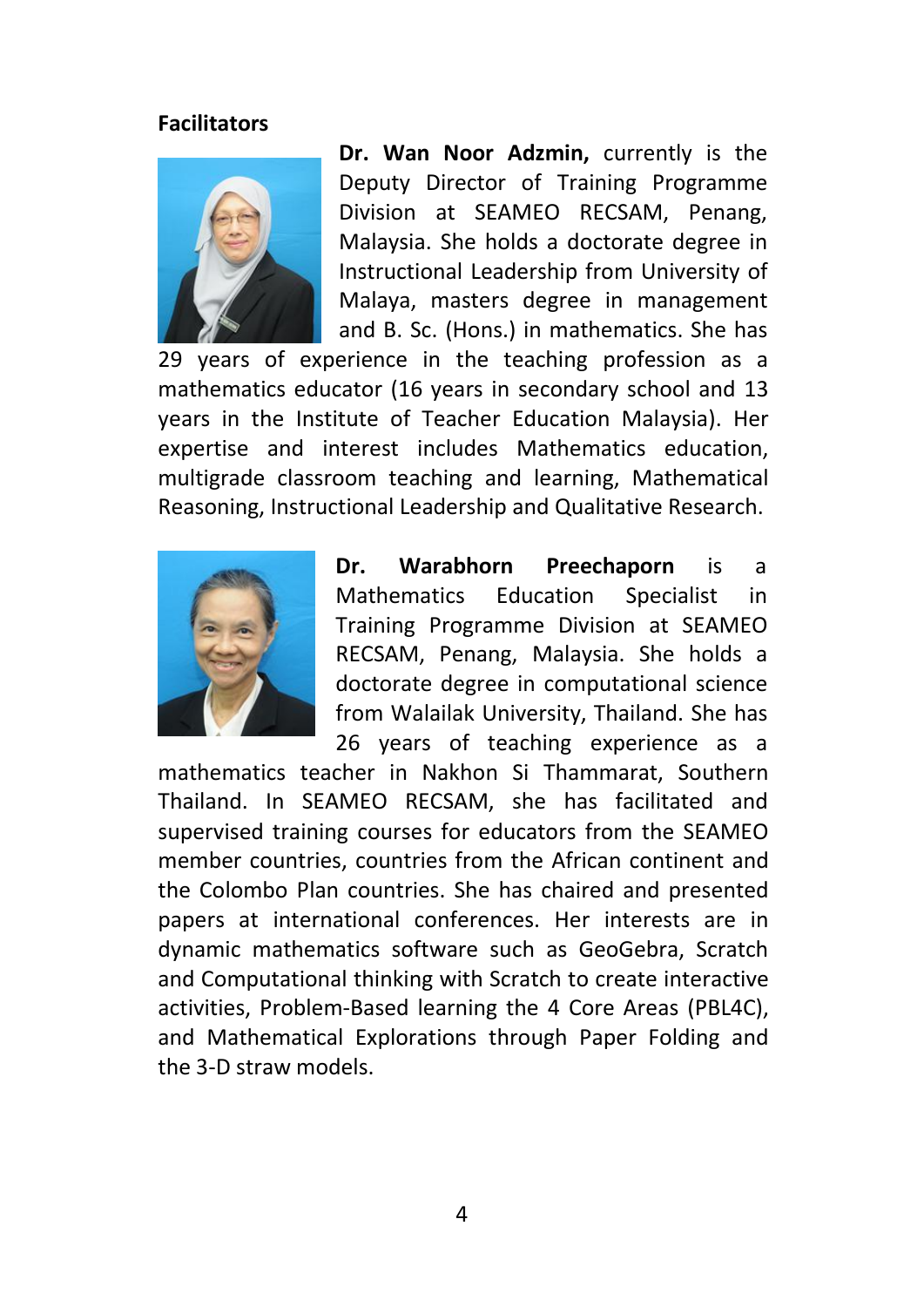#### **Facilitators**



**Dr. Wan Noor Adzmin,** currently is the Deputy Director of Training Programme Division at SEAMEO RECSAM, Penang, Malaysia. She holds a doctorate degree in Instructional Leadership from University of Malaya, masters degree in management and B. Sc. (Hons.) in mathematics. She has

29 years of experience in the teaching profession as a mathematics educator (16 years in secondary school and 13 years in the Institute of Teacher Education Malaysia). Her expertise and interest includes Mathematics education, multigrade classroom teaching and learning, Mathematical Reasoning, Instructional Leadership and Qualitative Research.



**Dr. Warabhorn Preechaporn** is a Mathematics Education Specialist in Training Programme Division at SEAMEO RECSAM, Penang, Malaysia. She holds a doctorate degree in computational science from Walailak University, Thailand. She has 26 years of teaching experience as a

mathematics teacher in Nakhon Si Thammarat, Southern Thailand. In SEAMEO RECSAM, she has facilitated and supervised training courses for educators from the SEAMEO member countries, countries from the African continent and the Colombo Plan countries. She has chaired and presented papers at international conferences. Her interests are in dynamic mathematics software such as GeoGebra, Scratch and Computational thinking with Scratch to create interactive activities, Problem-Based learning the 4 Core Areas (PBL4C), and Mathematical Explorations through Paper Folding and the 3-D straw models.